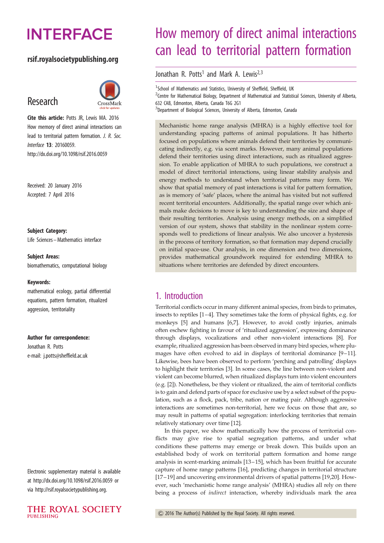# **INTERFACE**

## rsif.royalsocietypublishing.org

## Research



Cite this article: Potts JR, Lewis MA, 2016 How memory of direct animal interactions can lead to territorial pattern formation. J. R. Soc. Interface 13: 20160059. http://dx.doi.org/10.1098/rsif.2016.0059

Received: 20 January 2016 Accepted: 7 April 2016

#### Subject Category:

Life Sciences –Mathematics interface

#### Subject Areas:

biomathematics, computational biology

#### Keywords:

mathematical ecology, partial differential equations, pattern formation, ritualized aggression, territoriality

#### Author for correspondence:

Jonathan R. Potts e-mail: [j.potts@sheffield.ac.uk](mailto:j.potts@sheffield.ac.uk)

Electronic supplementary material is available at<http://dx.doi.org/10.1098/rsif.2016.0059> or via<http://rsif.royalsocietypublishing.org>.



## How memory of direct animal interactions can lead to territorial pattern formation

Jonathan R. Potts<sup>1</sup> and Mark A. Lewis<sup>2,3</sup>

<sup>1</sup>School of Mathematics and Statistics, University of Sheffield, Sheffield, UK  $2$ Centre for Mathematical Biology, Department of Mathematical and Statistical Sciences, University of Alberta, 632 CAB, Edmonton, Alberta, Canada T6G 2G1 <sup>3</sup>Department of Biological Sciences, University of Alberta, Edmonton, Canada

Mechanistic home range analysis (MHRA) is a highly effective tool for understanding spacing patterns of animal populations. It has hitherto focused on populations where animals defend their territories by communicating indirectly, e.g. via scent marks. However, many animal populations defend their territories using direct interactions, such as ritualized aggression. To enable application of MHRA to such populations, we construct a model of direct territorial interactions, using linear stability analysis and energy methods to understand when territorial patterns may form. We show that spatial memory of past interactions is vital for pattern formation, as is memory of 'safe' places, where the animal has visited but not suffered recent territorial encounters. Additionally, the spatial range over which animals make decisions to move is key to understanding the size and shape of their resulting territories. Analysis using energy methods, on a simplified version of our system, shows that stability in the nonlinear system corresponds well to predictions of linear analysis. We also uncover a hysteresis in the process of territory formation, so that formation may depend crucially on initial space-use. Our analysis, in one dimension and two dimensions, provides mathematical groundwork required for extending MHRA to situations where territories are defended by direct encounters.

## 1. Introduction

Territorial conflicts occur in many different animal species, from birds to primates, insects to reptiles [[1](#page-10-0)–[4\]](#page-10-0). They sometimes take the form of physical fights, e.g. for monkeys [[5](#page-10-0)] and humans [\[6,7](#page-10-0)]. However, to avoid costly injuries, animals often eschew fighting in favour of 'ritualized aggression', expressing dominance through displays, vocalizations and other non-violent interactions [\[8\]](#page-10-0). For example, ritualized aggression has been observed in many bird species, where plumages have often evolved to aid in displays of territorial dominance [\[9](#page-10-0)–[11\]](#page-10-0). Likewise, bees have been observed to perform 'perching and patrolling' displays to highlight their territories [[3](#page-10-0)]. In some cases, the line between non-violent and violent can become blurred, when ritualized displays turn into violent encounters (e.g. [\[2\]](#page-10-0)). Nonetheless, be they violent or ritualized, the aim of territorial conflicts is to gain and defend parts of space for exclusive use by a select subset of the population, such as a flock, pack, tribe, nation or mating pair. Although aggressive interactions are sometimes non-territorial, here we focus on those that are, so may result in patterns of spatial segregation: interlocking territories that remain relatively stationary over time [\[12](#page-11-0)].

In this paper, we show mathematically how the process of territorial conflicts may give rise to spatial segregation patterns, and under what conditions these patterns may emerge or break down. This builds upon an established body of work on territorial pattern formation and home range analysis in scent-marking animals [\[13](#page-11-0)–[15\]](#page-11-0), which has been fruitful for accurate capture of home range patterns [\[16](#page-11-0)], predicting changes in territorial structure [[17](#page-11-0) –[19](#page-11-0)] and uncovering environmental drivers of spatial patterns [[19,20\]](#page-11-0). However, such 'mechanistic home range analysis' (MHRA) studies all rely on there being a process of indirect interaction, whereby individuals mark the area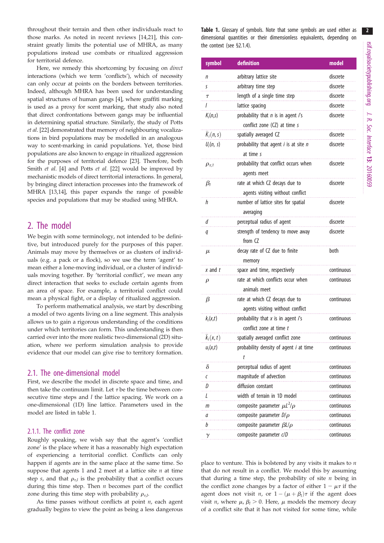throughout their terrain and then other individuals react to those marks. As noted in recent reviews [\[14,21\]](#page-11-0), this constraint greatly limits the potential use of MHRA, as many populations instead use combats or ritualized aggression for territorial defence.

Here, we remedy this shortcoming by focusing on direct interactions (which we term 'conflicts'), which of necessity can only occur at points on the borders between territories. Indeed, although MHRA has been used for understanding spatial structures of human gangs [\[4\]](#page-10-0), where graffiti marking is used as a proxy for scent marking, that study also noted that direct confrontations between gangs may be influential in determining spatial structure. Similarly, the study of Potts et al. [\[22\]](#page-11-0) demonstrated that memory of neighbouring vocalizations in bird populations may be modelled in an analogous way to scent-marking in canid populations. Yet, those bird populations are also known to engage in ritualized aggression for the purposes of territorial defence [\[23\]](#page-11-0). Therefore, both Smith et al. [[4](#page-10-0)] and Potts et al. [[22\]](#page-11-0) would be improved by mechanistic models of direct territorial interactions. In general, by bringing direct interaction processes into the framework of MHRA [\[13,14](#page-11-0)], this paper expands the range of possible species and populations that may be studied using MHRA.

## 2. The model

We begin with some terminology, not intended to be definitive, but introduced purely for the purposes of this paper. Animals may move by themselves or as clusters of individuals (e.g. a pack or a flock), so we use the term 'agent' to mean either a lone-moving individual, or a cluster of individuals moving together. By 'territorial conflict', we mean any direct interaction that seeks to exclude certain agents from an area of space. For example, a territorial conflict could mean a physical fight, or a display of ritualized aggression.

To perform mathematical analysis, we start by describing a model of two agents living on a line segment. This analysis allows us to gain a rigorous understanding of the conditions under which territories can form. This understanding is then carried over into the more realistic two-dimensional (2D) situation, where we perform simulation analysis to provide evidence that our model can give rise to territory formation.

#### 2.1. The one-dimensional model

First, we describe the model in discrete space and time, and then take the continuum limit. Let  $\tau$  be the time between consecutive time steps and  $l$  the lattice spacing. We work on a one-dimensional (1D) line lattice. Parameters used in the model are listed in table 1.

#### 2.1.1. The conflict zone

Roughly speaking, we wish say that the agent's 'conflict zone' is the place where it has a reasonably high expectation of experiencing a territorial conflict. Conflicts can only happen if agents are in the same place at the same time. So suppose that agents 1 and 2 meet at a lattice site  $n$  at time step s, and that  $\rho_{\tau,l}$  is the probability that a conflict occurs during this time step. Then  $n$  becomes part of the conflict zone during this time step with probability  $\rho_{\tau,l}$ .

As time passes without conflicts at point  $n$ , each agent gradually begins to view the point as being a less dangerous Table 1. Glossary of symbols. Note that some symbols are used either as dimensional quantities or their dimensionless equivalents, depending on the context (see §2.1.4).

| symbol          | definition                                    | model      |
|-----------------|-----------------------------------------------|------------|
| n               | arbitrary lattice site                        | discrete   |
| S               | arbitrary time step                           | discrete   |
| $\tau$          | length of a single time step                  | discrete   |
| I               | lattice spacing                               | discrete   |
| $K_i(n,s)$      | probability that n is in agent i's            | discrete   |
|                 | conflict zone (CZ) at time s                  |            |
| $K_i(n,s)$      | spatially averaged CZ                         | discrete   |
| $U_i(n, s)$     | probability that agent <i>i</i> is at site n  | discrete   |
|                 | at time s                                     |            |
| $\rho_{\tau,1}$ | probability that conflict occurs when         | discrete   |
|                 | agents meet                                   |            |
| $\beta_1$       | rate at which CZ decays due to                | discrete   |
|                 | agents visiting without conflict              |            |
| h               | number of lattice sites for spatial           | discrete   |
|                 | averaging                                     |            |
| d               | perceptual radius of agent                    | discrete   |
| q               | strength of tendency to move away             | discrete   |
|                 | from CZ                                       |            |
| $\mu$           | decay rate of CZ due to finite                | both       |
|                 | memory                                        |            |
| x and t         | space and time, respectively                  | continuous |
| $\rho$          | rate at which conflicts occur when            | continuous |
|                 | animals meet                                  |            |
| β               | rate at which CZ decays due to                | continuous |
|                 | agents visiting without conflict              |            |
| $k_i(x,t)$      | probability that $x$ is in agent $i's$        | continuous |
|                 | conflict zone at time t                       |            |
| $k_i(x,t)$      | spatially averaged conflict zone              | continuous |
| $u_i(x,t)$      | probability density of agent <i>i</i> at time | continuous |
|                 | t                                             |            |
| δ               | perceptual radius of agent                    | continuous |
| $\epsilon$      | magnitude of advection                        | continuous |
| D               | diffusion constant                            | continuous |
| L               | width of terrain in 1D model                  | continuous |
| m               | composite parameter $\mu L^2/\rho$            | continuous |
| a               | composite parameter $D/\rho$                  | continuous |
| b               | composite parameter $\beta L/\rho$            | continuous |
| $\gamma$        | composite parameter c/D                       | continuous |

place to venture. This is bolstered by any visits it makes to  $n$ that do not result in a conflict. We model this by assuming that during a time step, the probability of site  $n$  being in the conflict zone changes by a factor of either  $1 - \mu \tau$  if the agent does not visit *n*, or  $1 - (\mu + \beta_l)\tau$  if the agent does visit *n*, where  $\mu$ ,  $\beta$ <sub>l</sub> > 0. Here,  $\mu$  models the memory decay of a conflict site that it has not visited for some time, while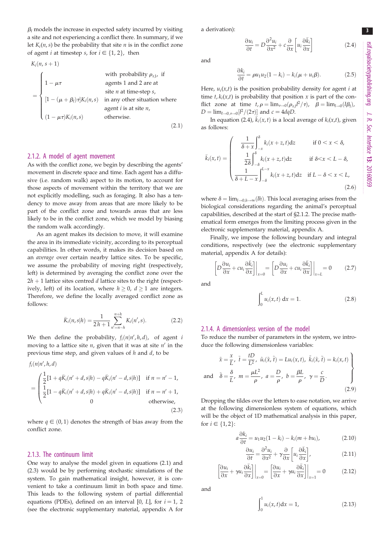$\beta_l$  models the increase in expected safety incurred by visiting a site and not experiencing a conflict there. In summary, if we let  $K_i(n, s)$  be the probability that site *n* is in the conflict zone of agent *i* at timestep *s*, for  $i \in \{1, 2\}$ , then

$$
K_i(n, s+1)
$$
 with probability  $\rho_{\tau, l}$ , if  
\n
$$
= \begin{cases}\n1 - \mu \tau & \text{agents 1 and 2 are at} \\
[1 - (\mu + \beta_l) \tau] K_i(n, s) & \text{in any other situation where} \\
[1 - \mu \tau) K_i(n, s) & \text{otherwise.} \n\end{cases}
$$

 $(2.1)$ 

#### 2.1.2. A model of agent movement

As with the conflict zone, we begin by describing the agents' movement in discrete space and time. Each agent has a diffusive (i.e. random walk) aspect to its motion, to account for those aspects of movement within the territory that we are not explicitly modelling, such as foraging. It also has a tendency to move away from areas that are more likely to be part of the conflict zone and towards areas that are less likely to be in the conflict zone, which we model by biasing the random walk accordingly.

As an agent makes its decision to move, it will examine the area in its immediate vicinity, according to its perceptual capabilities. In other words, it makes its decision based on an average over certain nearby lattice sites. To be specific, we assume the probability of moving right (respectively, left) is determined by averaging the conflict zone over the  $2h + 1$  lattice sites centred d lattice sites to the right (respectively, left) of its location, where  $h \geq 0$ ,  $d \geq 1$  are integers. Therefore, we define the locally averaged conflict zone as follows:

$$
\bar{K}_i(n,s|h) = \frac{1}{2h+1} \sum_{n'=n-h}^{n+h} K_i(n',s).
$$
 (2.2)

We then define the probability,  $f_i(n|n',h,d)$ , of agent i moving to a lattice site  $n$ , given that it was at site  $n'$  in the previous time step, and given values of  $h$  and  $d$ , to be

$$
f_i(n|n', h, d)
$$
  
= 
$$
\begin{cases} \frac{1}{2}[1 + q\bar{K}_i(n' + d, s|h) - q\bar{K}_i(n' - d, s|h)] & \text{if } n = n' - 1, \\ \frac{1}{2}[1 - q\bar{K}_i(n' + d, s|h) + q\bar{K}_i(n' - d, s|h)] & \text{if } n = n' + 1, \\ 0 & \text{otherwise,} \end{cases}
$$
(2.3)

where  $q \in (0, 1)$  denotes the strength of bias away from the conflict zone.

#### 2.1.3. The continuum limit

One way to analyse the model given in equations (2.1) and (2.3) would be by performing stochastic simulations of the system. To gain mathematical insight, however, it is convenient to take a continuum limit in both space and time. This leads to the following system of partial differential equations (PDEs), defined on an interval [0, L], for  $i = 1, 2$ (see the electronic supplementary material, appendix A for

a derivation):

$$
\frac{\partial u_i}{\partial t} = D \frac{\partial^2 u_i}{\partial x^2} + c \frac{\partial}{\partial x} \left[ u_i \frac{\partial \bar{k}_i}{\partial x} \right]
$$
 (2.4)

and

$$
\frac{\partial k_i}{\partial t} = \rho u_1 u_2 (1 - k_i) - k_i (\mu + u_i \beta). \tag{2.5}
$$

Here,  $u_i(x,t)$  is the position probability density for agent *i* at time  $t$ ,  $k_i(x,t)$  is probability that position x is part of the conflict zone at time  $t, \rho = \lim_{\tau \to 0} (\rho_{\tau,l} l^2 / \tau), \quad \beta = \lim_{l \to 0} (l\beta_l),$  $D = \lim_{l \to 0, \tau \to 0} [l^2/(2\tau)]$  and  $c = 4dqD$ .

In equation (2.4),  $\bar{k}_i(x, t)$  is a local average of  $k_i(x, t)$ , given as follows:

$$
\bar{k}_i(x,t) = \begin{cases}\n\frac{1}{\delta + x} \int_{-x}^{\delta} k_i(x+z,t) dz & \text{if } 0 < x < \delta, \\
\frac{1}{2\delta} \int_{-\delta}^{\delta} k_i(x+z,t) dz & \text{if } \delta < x < L - \delta, \\
\frac{1}{\delta + L - x} \int_{-\delta}^{L - x} k_i(x+z,t) dz & \text{if } L - \delta < x < L,\n\end{cases}
$$
\n(2.6)

where  $\delta = \lim_{l \to 0, h \to \infty}(lh)$ . This local averaging arises from the biological considerations regarding the animal's perceptual capabilities, described at the start of §2.1.2. The precise mathematical form emerges from the limiting process given in the electronic supplementary material, appendix A.

Finally, we impose the following boundary and integral conditions, respectively (see the electronic supplementary material, appendix A for details):

$$
\left[D\frac{\partial u_i}{\partial x} + c u_i \frac{\partial \bar{k}_i}{\partial x}\right]\bigg|_{x=0} = \left[D\frac{\partial u_i}{\partial x} + c u_i \frac{\partial \bar{k}_i}{\partial x}\right]\bigg|_{x=L} = 0 \tag{2.7}
$$

and

$$
\int_0^L u_i(x, t) \, \mathrm{d}x = 1. \tag{2.8}
$$

#### 2.1.4. A dimensionless version of the model

To reduce the number of parameters in the system, we introduce the following dimensionless variables:

$$
\tilde{x} = \frac{x}{L}, \ \tilde{t} = \frac{tD}{L^2}, \ \tilde{u}_i(\tilde{x}, \tilde{t}) = Lu_i(x, t), \ \tilde{k}_i(\tilde{x}, \tilde{t}) = k_i(x, t)
$$
\n
$$
\tilde{\delta} = \frac{\delta}{L}, \ m = \frac{\mu L^2}{\rho}, \ a = \frac{D}{\rho}, \ b = \frac{\beta L}{\rho}, \ \gamma = \frac{c}{D}.
$$
\n(2.9)

Dropping the tildes over the letters to ease notation, we arrive at the following dimensionless system of equations, which will be the object of 1D mathematical analysis in this paper, for  $i \in \{ 1, 2 \}$ :

$$
a\frac{\partial k_i}{\partial t} = u_1 u_2 (1 - k_i) - k_i (m + bu_i), \qquad (2.10)
$$

$$
\frac{\partial u_i}{\partial t} = \frac{\partial^2 u_i}{\partial x^2} + \gamma \frac{\partial}{\partial x} \left[ u_i \frac{\partial \bar{k}_i}{\partial x} \right],
$$
 (2.11)

$$
\left[\frac{\partial u_i}{\partial x} + \gamma u_i \frac{\partial \bar{k}_i}{\partial x}\right]\bigg|_{x=0} = \left[\frac{\partial u_i}{\partial x} + \gamma u_i \frac{\partial \bar{k}_i}{\partial x}\right]\bigg|_{x=1} = 0 \tag{2.12}
$$

and

$$
\int_{0}^{1} u_{i}(x, t) dx = 1,
$$
\n(2.13)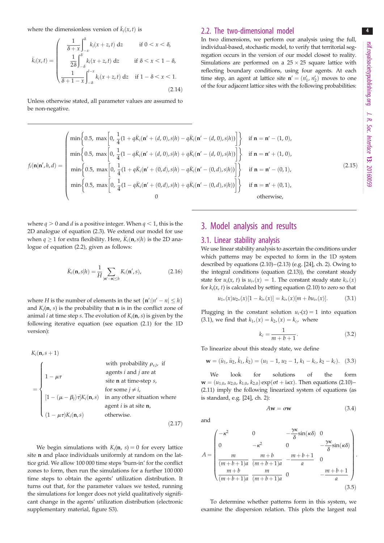where the dimensionless version of  $\bar{k}_i(x,t)$  is

$$
\bar{k}_i(x,t) = \begin{cases}\n\frac{1}{\delta + x} \int_{-x}^{\delta} k_i(x+z,t) dz & \text{if } 0 < x < \delta, \\
\frac{1}{2\delta} \int_{-\delta}^{\delta} k_i(x+z,t) dz & \text{if } \delta < x < 1 - \delta, \\
\frac{1}{\delta + 1 - x} \int_{-\delta}^{t-x} k_i(x+z,t) dz & \text{if } 1 - \delta < x < 1.\n\end{cases} \tag{2.14}
$$

Unless otherwise stated, all parameter values are assumed to be non-negative.

#### 2.2. The two-dimensional model

In two dimensions, we perform our analysis using the full, individual-based, stochastic model, to verify that territorial segregation occurs in the version of our model closest to reality. Simulations are performed on a  $25 \times 25$  square lattice with reflecting boundary conditions, using four agents. At each time step, an agent at lattice site  $\mathbf{n}' = (n'_1, n'_2)$  moves to one of the four adjacent lattice sites with the following probabilities:

$$
f_i(\mathbf{n}|\mathbf{n}',h,d) = \begin{pmatrix} \min\left\{0.5, \ \max\left[0, \frac{1}{4}(1 + q\bar{K}_i(\mathbf{n}' + (d, 0), s|h) - q\bar{K}_i(\mathbf{n}' - (d, 0), s|h))\right]\right\} & \text{if } \mathbf{n} = \mathbf{n}' - (1, 0), \\ \min\left\{0.5, \ \max\left[0, \frac{1}{4}(1 - q\bar{K}_i(\mathbf{n}' + (d, 0), s|h) + q\bar{K}_i(\mathbf{n}' - (d, 0), s|h))\right]\right\} & \text{if } \mathbf{n} = \mathbf{n}' + (1, 0), \\ \min\left\{0.5, \ \max\left[0, \frac{1}{4}(1 + q\bar{K}_i(\mathbf{n}' + (0, d), s|h) - q\bar{K}_i(\mathbf{n}' - (0, d), s|h))\right]\right\} & \text{if } \mathbf{n} = \mathbf{n}' - (0, 1), \\ \min\left\{0.5, \ \max\left[0, \frac{1}{4}(1 - q\bar{K}_i(\mathbf{n}' + (0, d), s|h) + q\bar{K}_i(\mathbf{n}' - (0, d), s|h))\right]\right\} & \text{if } \mathbf{n} = \mathbf{n}' + (0, 1), \\ 0 & \text{otherwise}, \end{pmatrix}
$$
(2.15)

where  $q > 0$  and d is a positive integer. When  $q < 1$ , this is the 2D analogue of equation (2.3). We extend our model for use when  $q \ge 1$  for extra flexibility. Here,  $\bar{K}_i(\mathbf{n}, s | h)$  is the 2D analogue of equation (2.2), given as follows:

$$
\bar{K}_i(\mathbf{n}, s|h) = \frac{1}{H} \sum_{|\mathbf{n}' - \mathbf{n}| \le h} K_i(\mathbf{n}', s), \tag{2.16}
$$

where *H* is the number of elements in the set  $\{n':|n'-n|\leq h\}$ and  $K_i(n, s)$  is the probability that **n** is in the conflict zone of animal *i* at time step *s*. The evolution of  $K_i(n, s)$  is given by the following iterative equation (see equation (2.1) for the 1D version):

$$
K_i(\mathbf{n}, s+1)
$$
 with probability  $\rho_{\tau,i}$ , if  
\nagents *i* and *j* are at  
\nsite **n** at time-step *s*,  
\nfor some  $j \neq i$ ,  
\n
$$
[1 - (\mu - \beta_l)\tau]K_i(\mathbf{n}, s)
$$
 in any other situation where  
\nagent *i* is at site **n**,  
\n $(1 - \mu\tau)K_i(\mathbf{n}, s)$  otherwise. (2.17)

We begin simulations with  $K_i(n, s) = 0$  for every lattice site n and place individuals uniformly at random on the lattice grid. We allow 100 000 time steps 'burn-in' for the conflict zones to form, then run the simulations for a further 100 000 time steps to obtain the agents' utilization distribution. It turns out that, for the parameter values we tested, running the simulations for longer does not yield qualitatively significant change in the agents' utilization distribution (electronic supplementary material, figure S3).

## 3. Model analysis and results

#### 3.1. Linear stability analysis

We use linear stability analysis to ascertain the conditions under which patterns may be expected to form in the 1D system described by equations (2.10)– (2.13) (e.g. [\[24](#page-11-0)], ch. 2). Owing to the integral conditions (equation (2.13)), the constant steady state for  $u_i(x, t)$  is  $u_{i*}(x) = 1$ . The constant steady state  $k_{i*}(x)$ for  $k_i(x, t)$  is calculated by setting equation (2.10) to zero so that

$$
u_{1*}(x)u_{2*}(x)[1-k_{i*}(x)] = k_{i*}(x)[m+bu_{i*}(x)].
$$
\n(3.1)

Plugging in the constant solution  $u_{i*}(x) = 1$  into equation (3.1), we find that  $k_{1*}(x) = k_{2*}(x) = k_c$ , where

$$
k_c = \frac{1}{m + b + 1}.
$$
 (3.2)

To linearize about this steady state, we define

$$
\mathbf{w} = (\hat{u}_1, \hat{u}_2, \hat{k}_1, \hat{k}_2) = (u_1 - 1, u_2 - 1, k_1 - k_c, k_2 - k_c). \tag{3.3}
$$

We look for solutions of the form  $\mathbf{w} = (u_{1,0}, u_{2,0}, k_{1,0}, k_{2,0}) \exp(\sigma t + i\kappa x)$ . Then equations (2.10)– (2.11) imply the following linearized system of equations (as is standard, e.g. [[24](#page-11-0)], ch. 2):

 $A\mathbf{w} = \sigma\mathbf{w}$  (3.4)

$$
A = \begin{pmatrix} -\kappa^2 & 0 & -\frac{\gamma \kappa}{\delta} \sin(\kappa \delta) & 0 \\ 0 & -\kappa^2 & 0 & -\frac{\gamma \kappa}{\delta} \sin(\kappa \delta) \\ \frac{m}{(m+b+1)a} & \frac{m+b}{(m+b+1)a} & -\frac{m+b+1}{a} & 0 \\ \frac{m+b}{(m+b+1)a} & \frac{m}{(m+b+1)a} & 0 & -\frac{m+b+1}{a} \end{pmatrix} . \tag{3.5}
$$

To determine whether patterns form in this system, we examine the dispersion relation. This plots the largest real

and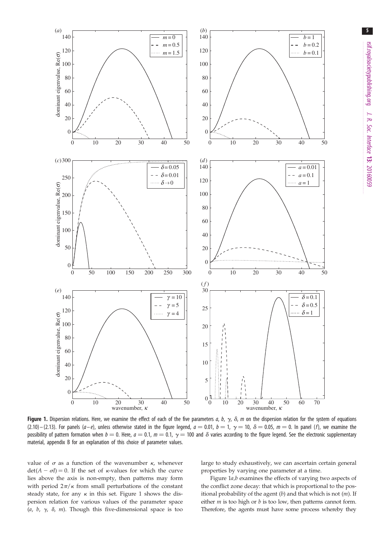<span id="page-4-0"></span>

Figure 1. Dispersion relations. Here, we examine the effect of each of the five parameters a, b,  $\gamma$ ,  $\delta$ , m on the dispersion relation for the system of equations (2.10) – (2.13). For panels ( $a-e$ ), unless otherwise stated in the figure legend,  $a = 0.01$ ,  $b = 1$ ,  $\gamma = 10$ ,  $\delta = 0.05$ ,  $m = 0$ . In panel (f), we examine the possibility of pattern formation when  $b = 0$ . Here,  $a = 0.1$ ,  $m = 0.1$ ,  $\gamma = 100$  and  $\delta$  varies according to the figure legend. See the electronic supplementary material, appendix B for an explanation of this choice of parameter values.

value of  $\sigma$  as a function of the wavenumber  $\kappa$ , whenever  $det(A - \sigma I) = 0$ . If the set of *k*-values for which the curve lies above the axis is non-empty, then patterns may form with period  $2\pi/\kappa$  from small perturbations of the constant steady state, for any  $\kappa$  in this set. Figure 1 shows the dispersion relation for various values of the parameter space (a, b,  $\gamma$ ,  $\delta$ , m). Though this five-dimensional space is too large to study exhaustively, we can ascertain certain general properties by varying one parameter at a time.

Figure 1a,b examines the effects of varying two aspects of the conflict zone decay: that which is proportional to the positional probability of the agent  $(b)$  and that which is not  $(m)$ . If either  $m$  is too high or  $b$  is too low, then patterns cannot form. Therefore, the agents must have some process whereby they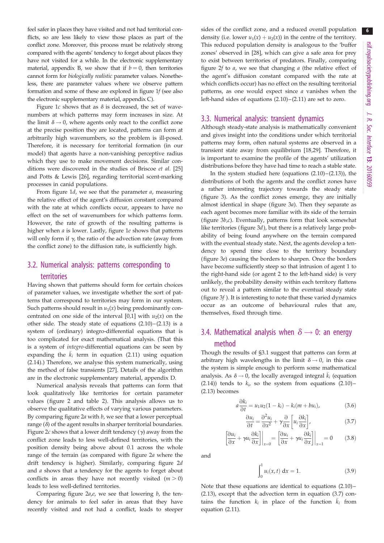feel safer in places they have visited and not had territorial conflicts, so are less likely to view those places as part of the conflict zone. Moreover, this process must be relatively strong compared with the agents' tendency to forget about places they have not visited for a while. In the electronic supplementary material, appendix B, we show that if  $b = 0$ , then territories cannot form for biologically realistic parameter values. Nonetheless, there are parameter values where we observe pattern formation and some of these are explored in [figure 1](#page-4-0)f (see also the electronic supplementary material, appendix C).

[Figure 1](#page-4-0)c shows that as  $\delta$  is decreased, the set of wavenumbers at which patterns may form increases in size. At the limit  $\delta \rightarrow 0$ , where agents only react to the conflict zone at the precise position they are located, patterns can form at arbitrarily high wavenumbers, so the problem is ill-posed. Therefore, it is necessary for territorial formation (in our model) that agents have a non-vanishing perceptive radius which they use to make movement decisions. Similar conditions were discovered in the studies of Briscoe et al. [[25\]](#page-11-0) and Potts & Lewis [[26\]](#page-11-0), regarding territorial scent-marking processes in canid populations.

From figure  $1d$ , we see that the parameter  $a$ , measuring the relative effect of the agent's diffusion constant compared with the rate at which conflicts occur, appears to have no effect on the set of wavenumbers for which patterns form. However, the rate of growth of the resulting patterns is higher when a is lower. Lastly, [figure 1](#page-4-0)e shows that patterns will only form if  $\gamma$ , the ratio of the advection rate (away from the conflict zone) to the diffusion rate, is sufficiently high.

## 3.2. Numerical analysis: patterns corresponding to territories

Having shown that patterns should form for certain choices of parameter values, we investigate whether the sort of patterns that correspond to territories may form in our system. Such patterns should result in  $u_1(x)$  being predominantly concentrated on one side of the interval [0,1] with  $u_2(x)$  on the other side. The steady state of equations  $(2.10)$ – $(2.13)$  is a system of (ordinary) integro-differential equations that is too complicated for exact mathematical analysis. (That this is a system of integro-differential equations can be seen by expanding the  $\bar{k}_i$  term in equation (2.11) using equation (2.14).) Therefore, we analyse this system numerically, using the method of false transients [\[27](#page-11-0)]. Details of the algorithm are in the electronic supplementary material, appendix D.

Numerical analysis reveals that patterns can form that look qualitatively like territories for certain parameter values ([figure 2](#page-6-0) and [table 2\)](#page-7-0). This analysis allows us to observe the qualitative effects of varying various parameters. By comparing figure  $2a$  with  $b$ , we see that a lower perceptual range  $(\delta)$  of the agent results in sharper territorial boundaries. [Figure 2](#page-6-0)c shows that a lower drift tendency  $(y)$  away from the conflict zone leads to less well-defined territories, with the position density being above about 0.1 across the whole range of the terrain (as compared with [figure 2](#page-6-0)a where the drift tendency is higher). Similarly, comparing [figure 2](#page-6-0)d and  $a$  shows that a tendency for the agents to forget about conflicts in areas they have not recently visited  $(m > 0)$ leads to less well-defined territories.

Comparing figure  $2a,e$ , we see that lowering  $b$ , the tendency for animals to feel safer in areas that they have recently visited and not had a conflict, leads to steeper sides of the conflict zone, and a reduced overall population density (i.e. lower  $u_1(x) + u_2(x)$ ) in the centre of the territory. This reduced population density is analogous to the 'buffer zones' observed in [\[28](#page-11-0)], which can give a safe area for prey to exist between territories of predators. Finally, comparing figure  $2f$  to  $a$ , we see that changing  $a$  (the relative effect of the agent's diffusion constant compared with the rate at which conflicts occur) has no effect on the resulting territorial patterns, as one would expect since a vanishes when the left-hand sides of equations  $(2.10)$  –  $(2.11)$  are set to zero.

#### 3.3. Numerical analysis: transient dynamics

Although steady-state analysis is mathematically convenient and gives insight into the conditions under which territorial patterns may form, often natural systems are observed in a transient state away from equilibrium [[18,29](#page-11-0)]. Therefore, it is important to examine the profile of the agents' utilization distributions before they have had time to reach a stable state.

In the system studied here (equations  $(2.10)$ – $(2.13)$ ), the distributions of both the agents and the conflict zones have a rather interesting trajectory towards the steady state ([figure 3\)](#page-8-0). As the conflict zones emerge, they are initially almost identical in shape ([figure 3](#page-8-0)a). Then they separate as each agent becomes more familiar with its side of the terrain (figure  $3b$ , $c$ ). Eventually, patterns form that look somewhat like territories [\(figure 3](#page-8-0)d), but there is a relatively large probability of being found anywhere on the terrain compared with the eventual steady state. Next, the agents develop a tendency to spend time close to the territory boundary ([figure 3](#page-8-0)e) causing the borders to sharpen. Once the borders have become sufficiently steep so that intrusion of agent 1 to the right-hand side (or agent 2 to the left-hand side) is very unlikely, the probability density within each territory flattens out to reveal a pattern similar to the eventual steady state (figure  $3f$ ). It is interesting to note that these varied dynamics occur as an outcome of behavioural rules that are, themselves, fixed through time.

## 3.4. Mathematical analysis when  $\delta \rightarrow 0$ : an energy method

Though the results of §3.1 suggest that patterns can form at arbitrary high wavelengths in the limit  $\delta \rightarrow 0$ , in this case the system is simple enough to perform some mathematical analysis. As  $\delta \rightarrow 0$ , the locally averaged integral  $\bar{k}_i$  (equation (2.14)) tends to  $k_i$ , so the system from equations (2.10)-(2.13) becomes

$$
a\frac{\partial k_i}{\partial t} = u_1 u_2 (1 - k_i) - k_i (m + bu_i), \tag{3.6}
$$

$$
\frac{\partial u_i}{\partial t} = \frac{\partial^2 u_i}{\partial x^2} + \gamma \frac{\partial}{\partial x} \left[ u_i \frac{\partial k_i}{\partial x} \right],
$$
 (3.7)

$$
\left[\frac{\partial u_i}{\partial x} + \gamma u_i \frac{\partial k_i}{\partial x}\right]\bigg|_{x=0} = \left[\frac{\partial u_i}{\partial x} + \gamma u_i \frac{\partial k_i}{\partial x}\right]\bigg|_{x=1} = 0 \quad (3.8)
$$

and

$$
\int_0^1 u_i(x, t) \, \mathrm{d}x = 1. \tag{3.9}
$$

Note that these equations are identical to equations (2.10) – (2.13), except that the advection term in equation (3.7) contains the function  $k_i$  in place of the function  $\bar{k}_i$  from equation (2.11).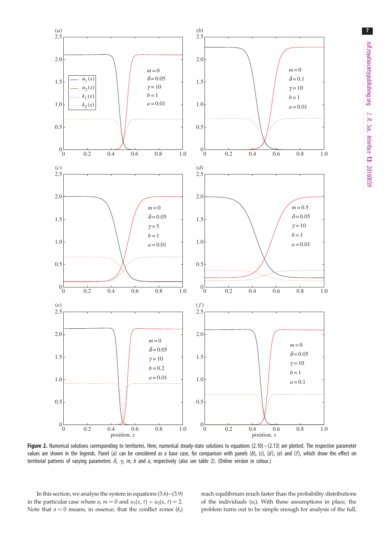<span id="page-6-0"></span>

Figure 2. Numerical solutions corresponding to territories. Here, numerical steady-state solutions to equations  $(2.10) - (2.13)$  are plotted. The respective parameter values are shown in the legends. Panel (a) can be considered as a base case, for comparison with panels (b), (c), (d), (e) and (f), which show the effect on territorial patterns of varying parameters  $\delta$ ,  $\gamma$ , m, b and a, respectively (also see [table 2](#page-7-0)). (Online version in colour.)

In this section, we analyse the system in equations (3.6)–(3.9) in the particular case where *a*, *m* = 0 and  $u_1(x, t) + u_2(x, t) = 2$ . Note that  $a = 0$  means, in essence, that the conflict zones  $(k_i)$  reach equilibrium much faster than the probability distributions of the individuals  $(u_i)$ . With these assumptions in place, the problem turns out to be simple enough for analysis of the full,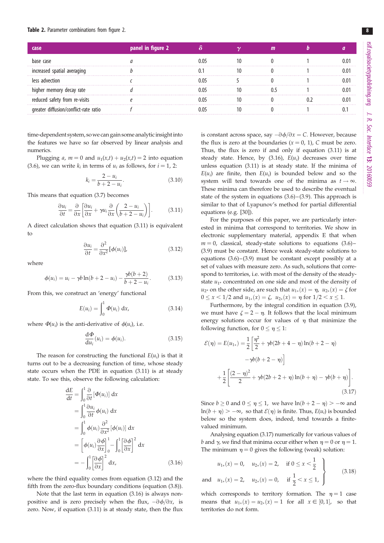#### <span id="page-7-0"></span>Table 2. Parameter combinations from [figure 2](#page-6-0).

|                             | panel in figu |  |  |  |
|-----------------------------|---------------|--|--|--|
|                             |               |  |  |  |
| -increased spatial averagii |               |  |  |  |
| advection<br>les            |               |  |  |  |
| cav rate                    |               |  |  |  |
| sarety from re-visits       |               |  |  |  |
| conflict-rate ratio         |               |  |  |  |

time-dependent system, so we can gain some analytic insight into the features we have so far observed by linear analysis and numerics.

Plugging a,  $m = 0$  and  $u_1(x,t) + u_2(x,t) = 2$  into equation (3.6), we can write  $k_i$  in terms of  $u_i$  as follows, for  $i = 1, 2$ :

$$
k_i = \frac{2 - u_i}{b + 2 - u_i}.
$$
\n(3.10)

This means that equation (3.7) becomes

$$
\frac{\partial u_i}{\partial t} = \frac{\partial}{\partial x} \left[ \frac{\partial u_i}{\partial x} + \gamma u_i \frac{\partial}{\partial x} \left( \frac{2 - u_i}{b + 2 - u_i} \right) \right].
$$
 (3.11)

A direct calculation shows that equation (3.11) is equivalent to

$$
\frac{\partial u_i}{\partial t} = \frac{\partial^2}{\partial x^2} [\phi(u_i)], \qquad (3.12)
$$

where

$$
\phi(u_i) = u_i - \gamma b \ln(b + 2 - u_i) - \frac{\gamma b(b + 2)}{b + 2 - u_i}.
$$
 (3.13)

From this, we construct an 'energy' functional

$$
E(u_i) = \int_0^1 \Phi(u_i) \, dx,\tag{3.14}
$$

where  $\Phi(u_i)$  is the anti-derivative of  $\phi(u_i)$ , i.e.

$$
\frac{\mathrm{d}\Phi}{\mathrm{d}u_i}(u_i) = \phi(u_i). \tag{3.15}
$$

The reason for constructing the functional  $E(u_i)$  is that it turns out to be a decreasing function of time, whose steady state occurs when the PDE in equation (3.11) is at steady state. To see this, observe the following calculation:

$$
\frac{dE}{dt} = \int_0^1 \frac{\partial}{\partial t} [\Phi(u_i)] dx
$$
  
\n
$$
= \int_0^1 \frac{\partial u_i}{\partial t} \phi(u_i) dx
$$
  
\n
$$
= \int_0^1 \phi(u_i) \frac{\partial^2}{\partial x^2} [\phi(u_i)] dx
$$
  
\n
$$
= \left[ \phi(u_i) \frac{\partial \phi}{\partial x} \right]_0^1 - \int_0^1 \left[ \frac{\partial \phi}{\partial x} \right]^2 dx
$$
  
\n
$$
= - \int_0^1 \left[ \frac{\partial \phi}{\partial x} \right]^2 dx, \qquad (3.16)
$$

where the third equality comes from equation (3.12) and the fifth from the zero-flux boundary conditions (equation (3.8)).

Note that the last term in equation (3.16) is always nonpositive and is zero precisely when the flux,  $-\partial \phi / \partial x$ , is zero. Now, if equation (3.11) is at steady state, then the flux

is constant across space, say  $-\partial \phi / \partial x = C$ . However, because the flux is zero at the boundaries  $(x = 0, 1)$ , C must be zero. Thus, the flux is zero if and only if equation (3.11) is at steady state. Hence, by  $(3.16)$ ,  $E(u_i)$  decreases over time unless equation (3.11) is at steady state. If the minima of  $E(u_i)$  are finite, then  $E(u_i)$  is bounded below and so the system will tend towards one of the minima as  $t \to \infty$ . These minima can therefore be used to describe the eventual state of the system in equations  $(3.6)$ – $(3.9)$ . This approach is similar to that of Lyapunov's method for partial differential equations (e.g. [\[30](#page-11-0)]).

For the purposes of this paper, we are particularly interested in minima that correspond to territories. We show in electronic supplementary material, appendix E that when  $m = 0$ , classical, steady-state solutions to equations (3.6)– (3.9) must be constant. Hence weak steady-state solutions to equations  $(3.6)$ – $(3.9)$  must be constant except possibly at a set of values with measure zero. As such, solutions that correspond to territories, i.e. with most of the density of the steadystate  $u_{1*}$  concentrated on one side and most of the density of  $u_{2*}$  on the other side, are such that  $u_{1*}(x) = \eta$ ,  $u_{2*}(x) = \zeta$  for  $0 \le x < 1/2$  and  $u_{1*}(x) = \zeta$ ,  $u_{2*}(x) = \eta$  for  $1/2 < x \le 1$ .

Furthermore, by the integral condition in equation (3.9), we must have  $\zeta = 2 - \eta$ . It follows that the local minimum energy solutions occur for values of  $\eta$  that minimize the following function, for  $0 \le \eta \le 1$ :

$$
\mathcal{E}(\eta) = E(u_{1*}) = \frac{1}{2} \left[ \frac{\eta^2}{2} + \gamma b(2b + 4 - \eta) \ln(b + 2 - \eta) - \gamma b(b + 2 - \eta) \right]
$$

$$
- \gamma b(b + 2 - \eta) + \frac{1}{2} \left[ \frac{(2 - \eta)^2}{2} + \gamma b(2b + 2 + \eta) \ln(b + \eta) - \gamma b(b + \eta) \right].
$$
(3.17)

Since  $b \ge 0$  and  $0 \le \eta \le 1$ , we have  $\ln(b + 2 - \eta) > -\infty$  and  $\ln(b + \eta) > -\infty$ , so that  $\mathcal{E}(\eta)$  is finite. Thus,  $E(u_i)$  is bounded below so the system does, indeed, tend towards a finitevalued minimum.

Analysing equation (3.17) numerically for various values of b and  $\gamma$ , we find that minima occur either when  $n = 0$  or  $n = 1$ . The minimum  $\eta = 0$  gives the following (weak) solution:

$$
u_{1*}(x) = 0
$$
,  $u_{2*}(x) = 2$ , if  $0 \le x < \frac{1}{2}$   
and  $u_{1*}(x) = 2$ ,  $u_{2*}(x) = 0$ , if  $\frac{1}{2} < x \le 1$ , (3.18)

which corresponds to territory formation. The  $\eta = 1$  case means that  $u_{1*}(x) = u_{2*}(x) = 1$  for all  $x \in [0, 1]$ , so that territories do not form.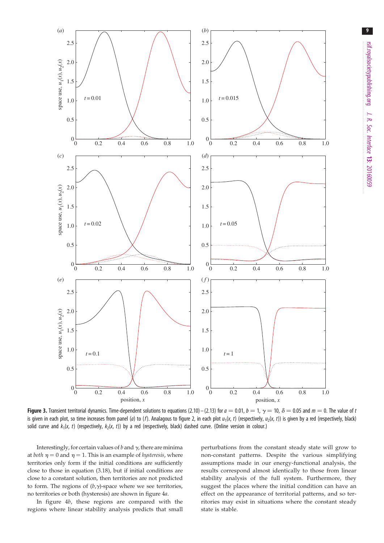<span id="page-8-0"></span>

Figure 3. Transient territorial dynamics. Time-dependent solutions to equations (2.10) – (2.13) for  $a = 0.01$ ,  $b = 1$ ,  $\gamma = 10$ ,  $\delta = 0.05$  and  $m = 0$ . The value of t is given in each plot, so time increases from panel (a) to (f). Analagous to [figure 2](#page-6-0), in each plot  $u_1(x, t)$  (respectively,  $u_2(x, t)$ ) is given by a red (respectively, black) solid curve and  $k_1(x, t)$  (respectively,  $k_2(x, t)$ ) by a red (respectively, black) dashed curve. (Online version in colour.)

Interestingly, for certain values of  $b$  and  $\gamma$ , there are minima at *both*  $\eta = 0$  and  $\eta = 1$ . This is an example of *hysteresis*, where territories only form if the initial conditions are sufficiently close to those in equation (3.18), but if initial conditions are close to a constant solution, then territories are not predicted to form. The regions of  $(b, \gamma)$ -space where we see territories, no territories or both (hysteresis) are shown in [figure 4](#page-9-0)a.

In [figure 4](#page-9-0)b, these regions are compared with the regions where linear stability analysis predicts that small perturbations from the constant steady state will grow to non-constant patterns. Despite the various simplifying assumptions made in our energy-functional analysis, the results correspond almost identically to those from linear stability analysis of the full system. Furthermore, they suggest the places where the initial condition can have an effect on the appearance of territorial patterns, and so territories may exist in situations where the constant steady state is stable.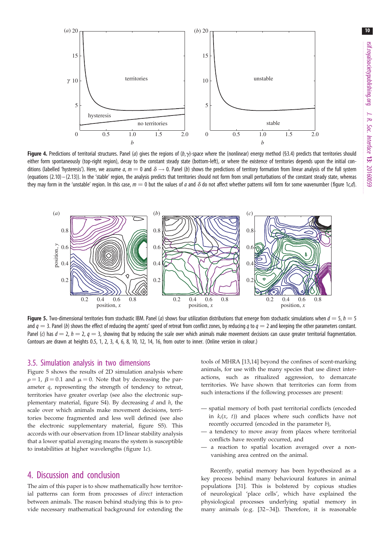<span id="page-9-0"></span>

**Figure 4.** Predictions of territorial structures. Panel (a) gives the regions of  $(b, \gamma)$ -space where the (nonlinear) energy method (§3.4) predicts that territories should either form spontaneously (top-right region), decay to the constant steady state (bottom-left), or where the existence of territories depends upon the initial conditions (labelled 'hysteresis'). Here, we assume a,  $m = 0$  and  $\delta \rightarrow 0$ . Panel (b) shows the predictions of territory formation from linear analysis of the full system (equations  $(2.10) - (2.13)$ ). In the 'stable' region, the analysis predicts that territories should not form from small perturbations of the constant steady state, whereas they may form in the 'unstable' region. In this case,  $m = 0$  but the values of a and  $\delta$  do not affect whether patterns will form for some wavenumber [\(figure 1](#page-4-0)c,d).



**Figure 5.** Two-dimensional territories from stochastic IBM. Panel (a) shows four utilization distributions that emerge from stochastic simulations when  $d = 5$ ,  $h = 5$ and  $q = 3$ . Panel (b) shows the effect of reducing the agents' speed of retreat from conflict zones, by reducing q to  $q = 2$  and keeping the other parameters constant. Panel (c) has  $d = 2$ ,  $h = 2$ ,  $q = 3$ , showing that by reducing the scale over which animals make movement decisions can cause greater territorial fragmentation. Contours are drawn at heights 0.5, 1, 2, 3, 4, 6, 8, 10, 12, 14, 16, from outer to inner. (Online version in colour.)

#### 3.5. Simulation analysis in two dimensions

Figure 5 shows the results of 2D simulation analysis where  $\rho = 1$ ,  $\beta = 0.1$  and  $\mu = 0$ . Note that by decreasing the parameter q, representing the strength of tendency to retreat, territories have greater overlap (see also the electronic supplementary material, figure S4). By decreasing  $d$  and  $h$ , the scale over which animals make movement decisions, territories become fragmented and less well defined (see also the electronic supplementary material, figure S5). This accords with our observation from 1D linear stability analysis that a lower spatial averaging means the system is susceptible to instabilities at higher wavelengths ([figure 1](#page-4-0)c).

### 4. Discussion and conclusion

The aim of this paper is to show mathematically how territorial patterns can form from processes of direct interaction between animals. The reason behind studying this is to provide necessary mathematical background for extending the tools of MHRA [\[13,14](#page-11-0)] beyond the confines of scent-marking animals, for use with the many species that use direct interactions, such as ritualized aggression, to demarcate territories. We have shown that territories can form from such interactions if the following processes are present:

- spatial memory of both past territorial conflicts (encoded in  $k_i(x, t)$  and places where such conflicts have not recently occurred (encoded in the parameter b),
- a tendency to move away from places where territorial conflicts have recently occurred, and
- a reaction to spatial location averaged over a nonvanishing area centred on the animal.

Recently, spatial memory has been hypothesized as a key process behind many behavioural features in animal populations [[31\]](#page-11-0). This is bolstered by copious studies of neurological 'place cells', which have explained the physiological processes underlying spatial memory in many animals (e.g. [[32](#page-11-0)-34]). Therefore, it is reasonable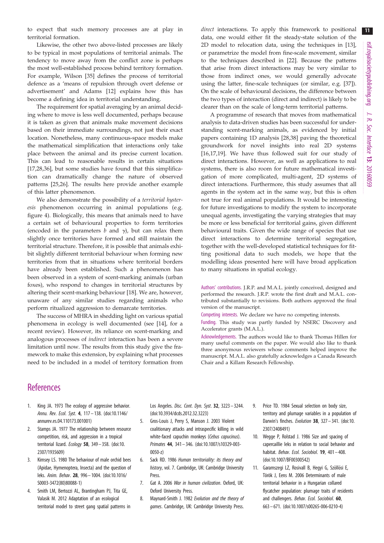<span id="page-10-0"></span>to expect that such memory processes are at play in territorial formation.

Likewise, the other two above-listed processes are likely to be typical in most populations of territorial animals. The tendency to move away from the conflict zone is perhaps the most well-established process behind territory formation. For example, Wilson [[35\]](#page-11-0) defines the process of territorial defence as a 'means of repulsion through overt defense or advertisement' and Adams [\[12](#page-11-0)] explains how this has become a defining idea in territorial understanding.

The requirement for spatial averaging by an animal deciding where to move is less well documented, perhaps because it is taken as given that animals make movement decisions based on their immediate surroundings, not just their exact location. Nonetheless, many continuous-space models make the mathematical simplification that interactions only take place between the animal and its precise current location. This can lead to reasonable results in certain situations [\[17](#page-11-0),[28,36\]](#page-11-0), but some studies have found that this simplification can dramatically change the nature of observed patterns [[25,26\]](#page-11-0). The results here provide another example of this latter phenomenon.

We also demonstrate the possibility of a territorial hysteresis phenomenon occurring in animal populations (e.g. [figure 4](#page-9-0)). Biologically, this means that animals need to have a certain set of behavioural properties to form territories (encoded in the parameters  $b$  and  $\gamma$ ), but can relax them slightly once territories have formed and still maintain the territorial structure. Therefore, it is possible that animals exhibit slightly different territorial behaviour when forming new territories from that in situations where territorial borders have already been established. Such a phenomenon has been observed in a system of scent-marking animals (urban foxes), who respond to changes in territorial structures by altering their scent-marking behaviour [\[18](#page-11-0)]. We are, however, unaware of any similar studies regarding animals who perform ritualized aggression to demarcate territories.

The success of MHRA in shedding light on various spatial phenomena in ecology is well documented (see [[14\]](#page-11-0), for a recent review). However, its reliance on scent-marking and analogous processes of indirect interaction has been a severe limitation until now. The results from this study give the framework to make this extension, by explaining what processes need to be included in a model of territory formation from direct interactions. To apply this framework to positional data, one would either fit the steady-state solution of the 2D model to relocation data, using the techniques in [[13\]](#page-11-0), or parametrize the model from fine-scale movement, similar to the techniques described in [[22\]](#page-11-0). Because the patterns that arise from direct interactions may be very similar to those from indirect ones, we would generally advocate using the latter, fine-scale techniques (or similar, e.g. [[37\]](#page-11-0)). On the scale of behavioural decisions, the difference between the two types of interaction (direct and indirect) is likely to be clearer than on the scale of long-term territorial patterns.

A programme of research that moves from mathematical analysis to data-driven studies has been successful for understanding scent-marking animals, as evidenced by initial papers containing 1D analysis [\[28,38](#page-11-0)] paving the theoretical groundwork for novel insights into real 2D systems [[16,17,19](#page-11-0)]. We have thus followed suit for our study of direct interactions. However, as well as applications to real systems, there is also room for future mathematical investigation of more complicated, multi-agent, 2D systems of direct interactions. Furthermore, this study assumes that all agents in the system act in the same way, but this is often not true for real animal populations. It would be interesting for future investigations to modify the system to incorporate unequal agents, investigating the varying strategies that may be more or less beneficial for territorial gains, given different behavioural traits. Given the wide range of species that use direct interactions to determine territorial segregation, together with the well-developed statistical techniques for fitting positional data to such models, we hope that the modelling ideas presented here will have broad application to many situations in spatial ecology.

Authors' contributions. J.R.P. and M.A.L. jointly conceived, designed and performed the research. J.R.P. wrote the first draft and M.A.L. contributed substantially to revisions. Both authors approved the final version of the manuscript.

Competing interests. We declare we have no competing interests.

Funding. This study was partly funded by NSERC Discovery and Accelerator grants (M.A.L.).

Acknowledgements. The authors would like to thank Thomas Hillen for many useful comments on the paper. We would also like to thank three anonymous reviewers whose comments helped improve the manuscript. M.A.L. also gratefully acknowledges a Canada Research Chair and a Killam Research Fellowship.

### **References**

- 1. King JA. 1973 The ecology of aggressive behavior. Annu. Rev. Ecol. Syst. 4, 117– 138. [\(doi:10.1146/](http://dx.doi.org/10.1146/annurev.es.04.110173.001001) [annurev.es.04.110173.001001\)](http://dx.doi.org/10.1146/annurev.es.04.110173.001001)
- 2. Stamps JA. 1977 The relationship between resource competition, risk, and aggression in a tropical territorial lizard. Ecology 58, 349-358. [\(doi:10.](http://dx.doi.org/10.2307/1935609) [2307/1935609\)](http://dx.doi.org/10.2307/1935609)
- 3. Kimsey LS. 1980 The behaviour of male orchid bees (Apidae, Hymenoptera, Insecta) and the question of leks. Anim. Behav. 28, 996– 1004. [\(doi:10.1016/](http://dx.doi.org/10.1016/S0003-3472(80)80088-1) [S0003-3472\(80\)80088-1\)](http://dx.doi.org/10.1016/S0003-3472(80)80088-1)
- 4. Smith LM, Bertozzi AL, Brantingham PJ, Tita GE, Valasik M. 2012 Adaptation of an ecological territorial model to street gang spatial patterns in

Los Angeles. Disc. Cont. Dyn. Syst. 32, 3223 – 3244. [\(doi:10.3934/dcds.2012.32.3223\)](http://dx.doi.org/10.3934/dcds.2012.32.3223)

- 5. Gros-Louis J, Perry S, Manson J. 2003 Violent coalitionary attacks and intraspecific killing in wild white-faced capuchin monkeys (Cebus capucinus). Primates 44, 341– 346. ([doi:10.1007/s10329-003-](http://dx.doi.org/10.1007/s10329-003-0050-z) [0050-z\)](http://dx.doi.org/10.1007/s10329-003-0050-z)
- 6. Sack RD. 1986 Human territoriality: its theory and history, vol. 7. Cambridge, UK: Cambridge University Press.
- 7. Gat A. 2006 War in human civilization. Oxford, UK: Oxford University Press.
- 8. Maynard-Smith J. 1982 Evolution and the theory of games. Cambridge, UK: Cambridge University Press.
- 9. Price TD. 1984 Sexual selection on body size, territory and plumage variables in a population of Darwin's finches. Evolution  $38$ ,  $327 - 341$ . [\(doi:10.](http://dx.doi.org/10.2307/2408491) [2307/2408491](http://dx.doi.org/10.2307/2408491))
- 10. Wegge P, Rolstad J. 1986 Size and spacing of capercaillie leks in relation to social behavior and habitat. Behav. Ecol. Sociobiol. **19**, 401-408. ([doi:10.1007/BF00300542](http://dx.doi.org/10.1007/BF00300542))
- 11. Garamszegi LZ, Rosivall B, Hegyi G, Szöllösi E, Török J, Eens M. 2006 Determinants of male territorial behavior in a Hungarian collared flycatcher population: plumage traits of residents and challengers. Behav. Ecol. Sociobiol. 60, 663– 671. [\(doi:10.1007/s00265-006-0210-4](http://dx.doi.org/10.1007/s00265-006-0210-4))